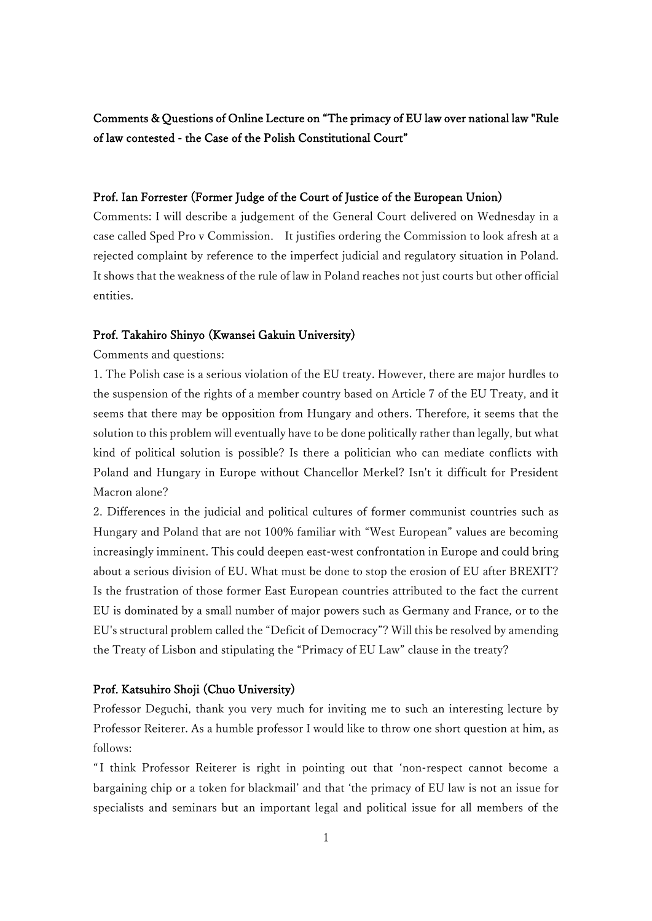# Comments & Questions of Online Lecture on "The primacy of EU law over national law "Rule of law contested - the Case of the Polish Constitutional Court"

# Prof. Ian Forrester (Former Judge of the Court of Justice of the European Union)

Comments: I will describe a judgement of the General Court delivered on Wednesday in a case called Sped Pro v Commission. It justifies ordering the Commission to look afresh at a rejected complaint by reference to the imperfect judicial and regulatory situation in Poland. It shows that the weakness of the rule of law in Poland reaches not just courts but other official entities.

### Prof. Takahiro Shinyo (Kwansei Gakuin University)

Comments and questions:

1. The Polish case is a serious violation of the EU treaty. However, there are major hurdles to the suspension of the rights of a member country based on Article 7 of the EU Treaty, and it seems that there may be opposition from Hungary and others. Therefore, it seems that the solution to this problem will eventually have to be done politically rather than legally, but what kind of political solution is possible? Is there a politician who can mediate conflicts with Poland and Hungary in Europe without Chancellor Merkel? Isn't it difficult for President Macron alone?

2. Differences in the judicial and political cultures of former communist countries such as Hungary and Poland that are not 100% familiar with "West European" values are becoming increasingly imminent. This could deepen east-west confrontation in Europe and could bring about a serious division of EU. What must be done to stop the erosion of EU after BREXIT? Is the frustration of those former East European countries attributed to the fact the current EU is dominated by a small number of major powers such as Germany and France, or to the EU's structural problem called the "Deficit of Democracy"? Will this be resolved by amending the Treaty of Lisbon and stipulating the "Primacy of EU Law" clause in the treaty?

## Prof. Katsuhiro Shoji (Chuo University)

Professor Deguchi, thank you very much for inviting me to such an interesting lecture by Professor Reiterer. As a humble professor I would like to throw one short question at him, as follows:

" I think Professor Reiterer is right in pointing out that 'non-respect cannot become a bargaining chip or a token for blackmail' and that 'the primacy of EU law is not an issue for specialists and seminars but an important legal and political issue for all members of the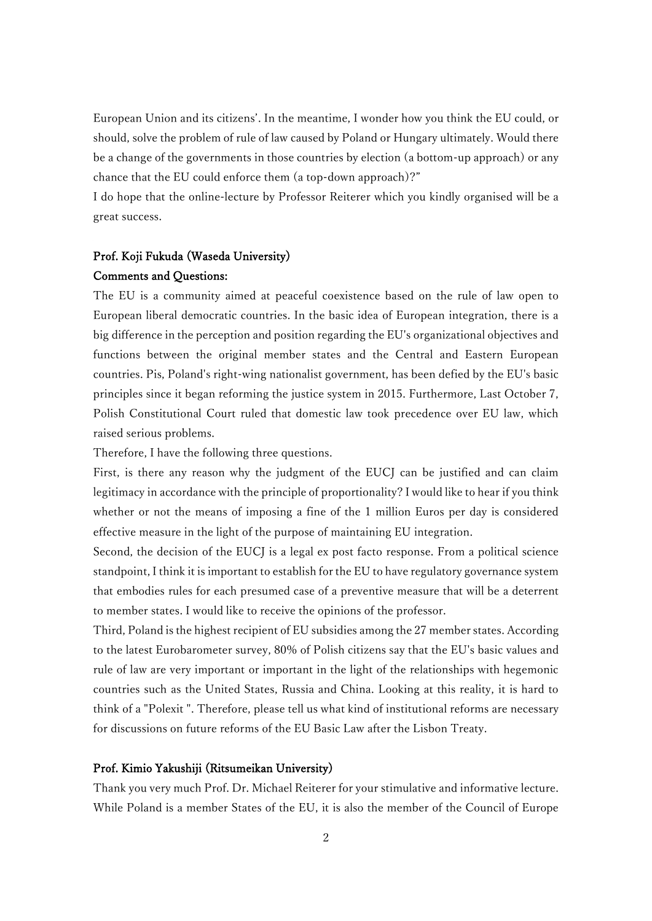European Union and its citizens'. In the meantime, I wonder how you think the EU could, or should, solve the problem of rule of law caused by Poland or Hungary ultimately. Would there be a change of the governments in those countries by election (a bottom-up approach) or any chance that the EU could enforce them (a top-down approach)?"

I do hope that the online-lecture by Professor Reiterer which you kindly organised will be a great success.

## Prof. Koji Fukuda (Waseda University)

#### Comments and Questions:

The EU is a community aimed at peaceful coexistence based on the rule of law open to European liberal democratic countries. In the basic idea of European integration, there is a big difference in the perception and position regarding the EU's organizational objectives and functions between the original member states and the Central and Eastern European countries. Pis, Poland's right-wing nationalist government, has been defied by the EU's basic principles since it began reforming the justice system in 2015. Furthermore, Last October 7, Polish Constitutional Court ruled that domestic law took precedence over EU law, which raised serious problems.

Therefore, I have the following three questions.

First, is there any reason why the judgment of the EUCJ can be justified and can claim legitimacy in accordance with the principle of proportionality? I would like to hear if you think whether or not the means of imposing a fine of the 1 million Euros per day is considered effective measure in the light of the purpose of maintaining EU integration.

Second, the decision of the EUCJ is a legal ex post facto response. From a political science standpoint, I think it is important to establish for the EU to have regulatory governance system that embodies rules for each presumed case of a preventive measure that will be a deterrent to member states. I would like to receive the opinions of the professor.

Third, Poland is the highest recipient of EU subsidies among the 27 member states. According to the latest Eurobarometer survey, 80% of Polish citizens say that the EU's basic values and rule of law are very important or important in the light of the relationships with hegemonic countries such as the United States, Russia and China. Looking at this reality, it is hard to think of a "Polexit ". Therefore, please tell us what kind of institutional reforms are necessary for discussions on future reforms of the EU Basic Law after the Lisbon Treaty.

## Prof. Kimio Yakushiji (Ritsumeikan University)

Thank you very much Prof. Dr. Michael Reiterer for your stimulative and informative lecture. While Poland is a member States of the EU, it is also the member of the Council of Europe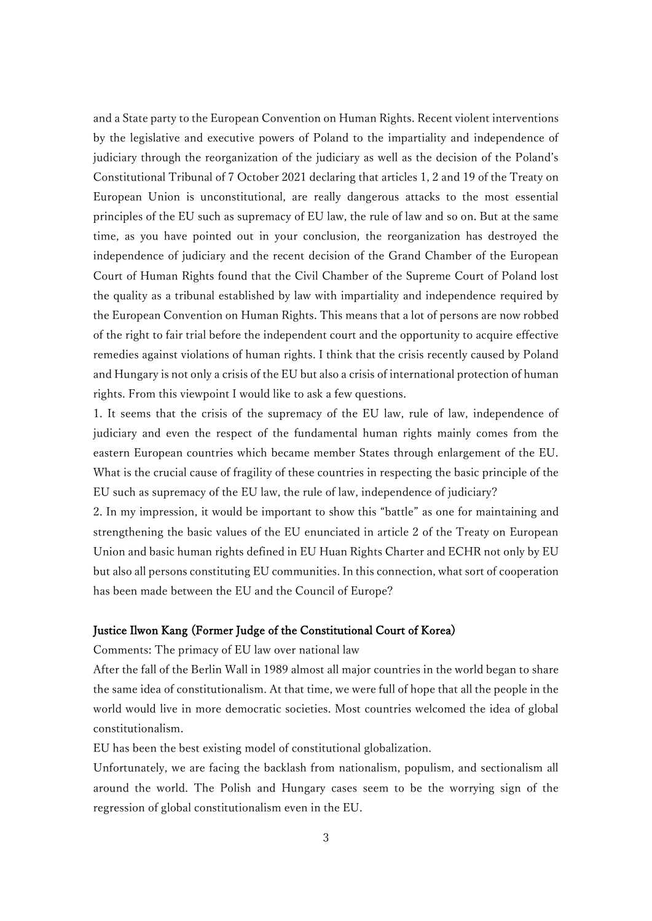and a State party to the European Convention on Human Rights. Recent violent interventions by the legislative and executive powers of Poland to the impartiality and independence of judiciary through the reorganization of the judiciary as well as the decision of the Poland's Constitutional Tribunal of 7 October 2021 declaring that articles 1, 2 and 19 of the Treaty on European Union is unconstitutional, are really dangerous attacks to the most essential principles of the EU such as supremacy of EU law, the rule of law and so on. But at the same time, as you have pointed out in your conclusion, the reorganization has destroyed the independence of judiciary and the recent decision of the Grand Chamber of the European Court of Human Rights found that the Civil Chamber of the Supreme Court of Poland lost the quality as a tribunal established by law with impartiality and independence required by the European Convention on Human Rights. This means that a lot of persons are now robbed of the right to fair trial before the independent court and the opportunity to acquire effective remedies against violations of human rights. I think that the crisis recently caused by Poland and Hungary is not only a crisis of the EU but also a crisis of international protection of human rights. From this viewpoint I would like to ask a few questions.

1. It seems that the crisis of the supremacy of the EU law, rule of law, independence of judiciary and even the respect of the fundamental human rights mainly comes from the eastern European countries which became member States through enlargement of the EU. What is the crucial cause of fragility of these countries in respecting the basic principle of the EU such as supremacy of the EU law, the rule of law, independence of judiciary?

2. In my impression, it would be important to show this "battle" as one for maintaining and strengthening the basic values of the EU enunciated in article 2 of the Treaty on European Union and basic human rights defined in EU Huan Rights Charter and ECHR not only by EU but also all persons constituting EU communities. In this connection, what sort of cooperation has been made between the EU and the Council of Europe?

## Justice Ilwon Kang (Former Judge of the Constitutional Court of Korea)

Comments: The primacy of EU law over national law

After the fall of the Berlin Wall in 1989 almost all major countries in the world began to share the same idea of constitutionalism. At that time, we were full of hope that all the people in the world would live in more democratic societies. Most countries welcomed the idea of global constitutionalism.

EU has been the best existing model of constitutional globalization.

Unfortunately, we are facing the backlash from nationalism, populism, and sectionalism all around the world. The Polish and Hungary cases seem to be the worrying sign of the regression of global constitutionalism even in the EU.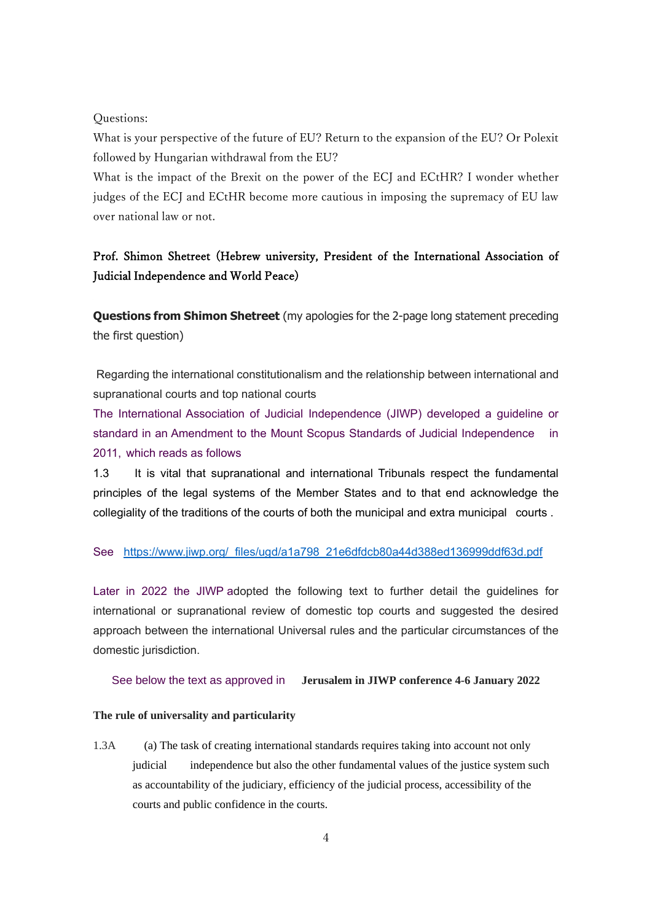#### Questions:

What is your perspective of the future of EU? Return to the expansion of the EU? Or Polexit followed by Hungarian withdrawal from the EU?

What is the impact of the Brexit on the power of the ECJ and ECtHR? I wonder whether judges of the ECJ and ECtHR become more cautious in imposing the supremacy of EU law over national law or not.

# Prof. Shimon Shetreet (Hebrew university, President of the International Association of Judicial Independence and World Peace)

**Questions from Shimon Shetreet** (my apologies for the 2-page long statement preceding the first question)

Regarding the international constitutionalism and the relationship between international and supranational courts and top national courts

The International Association of Judicial Independence (JIWP) developed a guideline or standard in an Amendment to the Mount Scopus Standards of Judicial Independence in 2011, which reads as follows

1.3 It is vital that supranational and international Tribunals respect the fundamental principles of the legal systems of the Member States and to that end acknowledge the collegiality of the traditions of the courts of both the municipal and extra municipal courts .

#### See [https://www.jiwp.org/\\_files/ugd/a1a798\\_21e6dfdcb80a44d388ed136999ddf63d.pdf](https://www.jiwp.org/_files/ugd/a1a798_21e6dfdcb80a44d388ed136999ddf63d.pdf)

Later in 2022 the JIWP adopted the following text to further detail the guidelines for international or supranational review of domestic top courts and suggested the desired approach between the international Universal rules and the particular circumstances of the domestic jurisdiction.

#### See below the text as approved in **Jerusalem in JIWP conference 4-6 January 2022**

### **The rule of universality and particularity**

1.3A (a) The task of creating international standards requires taking into account not only judicial independence but also the other fundamental values of the justice system such as accountability of the judiciary, efficiency of the judicial process, accessibility of the courts and public confidence in the courts.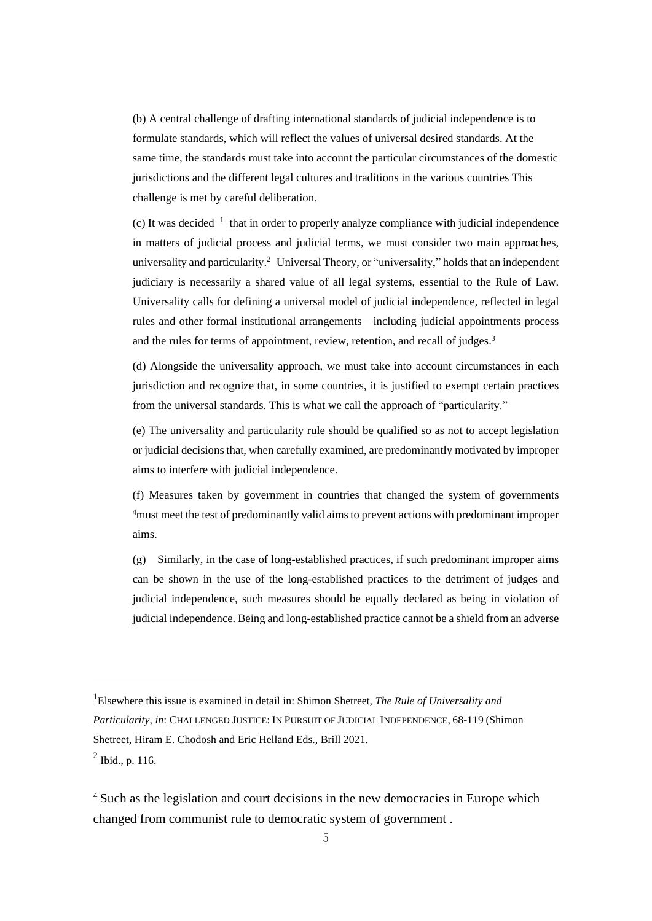(b) A central challenge of drafting international standards of judicial independence is to formulate standards, which will reflect the values of universal desired standards. At the same time, the standards must take into account the particular circumstances of the domestic jurisdictions and the different legal cultures and traditions in the various countries This challenge is met by careful deliberation.

(c) It was decided  $1$  that in order to properly analyze compliance with judicial independence in matters of judicial process and judicial terms, we must consider two main approaches, universality and particularity.<sup>2</sup> Universal Theory, or "universality," holds that an independent judiciary is necessarily a shared value of all legal systems, essential to the Rule of Law. Universality calls for defining a universal model of judicial independence, reflected in legal rules and other formal institutional arrangements—including judicial appointments process and the rules for terms of appointment, review, retention, and recall of judges.<sup>3</sup>

(d) Alongside the universality approach, we must take into account circumstances in each jurisdiction and recognize that, in some countries, it is justified to exempt certain practices from the universal standards. This is what we call the approach of "particularity."

(e) The universality and particularity rule should be qualified so as not to accept legislation or judicial decisionsthat, when carefully examined, are predominantly motivated by improper aims to interfere with judicial independence.

(f) Measures taken by government in countries that changed the system of governments <sup>4</sup>must meet the test of predominantly valid aimsto prevent actions with predominant improper aims.

(g) Similarly, in the case of long-established practices, if such predominant improper aims can be shown in the use of the long-established practices to the detriment of judges and judicial independence, such measures should be equally declared as being in violation of judicial independence. Being and long-established practice cannot be a shield from an adverse

<sup>1</sup>Elsewhere this issue is examined in detail in: Shimon Shetreet, *The Rule of Universality and Particularity*, *in*: CHALLENGED JUSTICE: IN PURSUIT OF JUDICIAL INDEPENDENCE, 68-119 (Shimon Shetreet, Hiram E. Chodosh and Eric Helland Eds., Brill 2021.

 $^{2}$  Ibid., p. 116.

<sup>4</sup> Such as the legislation and court decisions in the new democracies in Europe which changed from communist rule to democratic system of government .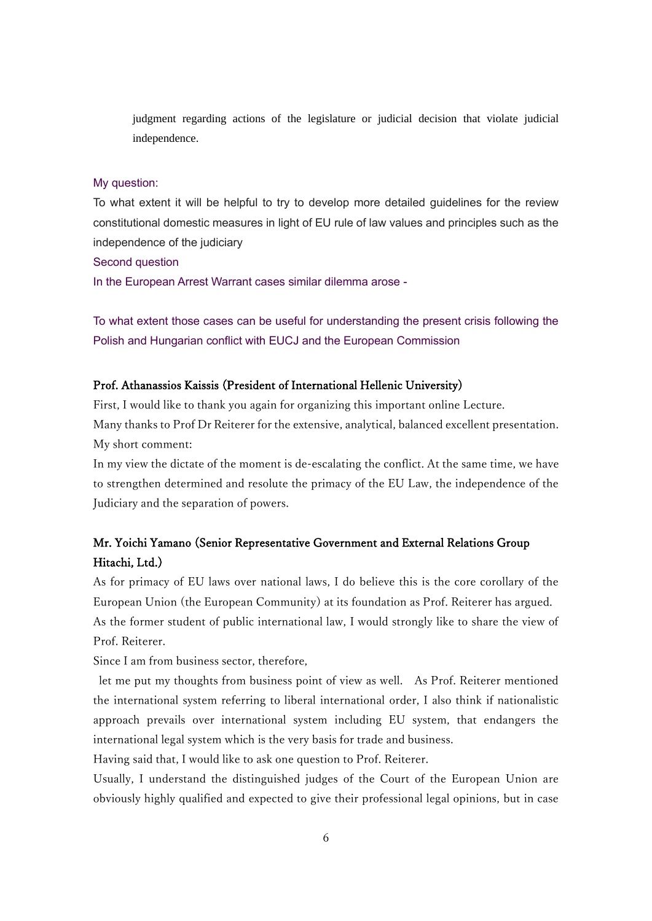judgment regarding actions of the legislature or judicial decision that violate judicial independence.

### My question:

To what extent it will be helpful to try to develop more detailed guidelines for the review constitutional domestic measures in light of EU rule of law values and principles such as the independence of the judiciary

Second question

In the European Arrest Warrant cases similar dilemma arose -

To what extent those cases can be useful for understanding the present crisis following the Polish and Hungarian conflict with EUCJ and the European Commission

## Prof. Athanassios Kaissis (President of International Hellenic University)

First, I would like to thank you again for organizing this important online Lecture. Many thanks to Prof Dr Reiterer for the extensive, analytical, balanced excellent presentation. My short comment:

In my view the dictate of the moment is de-escalating the conflict. At the same time, we have to strengthen determined and resolute the primacy of the EU Law, the independence of the Judiciary and the separation of powers.

# Mr. Yoichi Yamano (Senior Representative Government and External Relations Group Hitachi, Ltd.)

As for primacy of EU laws over national laws, I do believe this is the core corollary of the European Union (the European Community) at its foundation as Prof. Reiterer has argued. As the former student of public international law, I would strongly like to share the view of Prof. Reiterer.

Since I am from business sector, therefore,

let me put my thoughts from business point of view as well. As Prof. Reiterer mentioned the international system referring to liberal international order, I also think if nationalistic approach prevails over international system including EU system, that endangers the international legal system which is the very basis for trade and business.

Having said that, I would like to ask one question to Prof. Reiterer.

Usually, I understand the distinguished judges of the Court of the European Union are obviously highly qualified and expected to give their professional legal opinions, but in case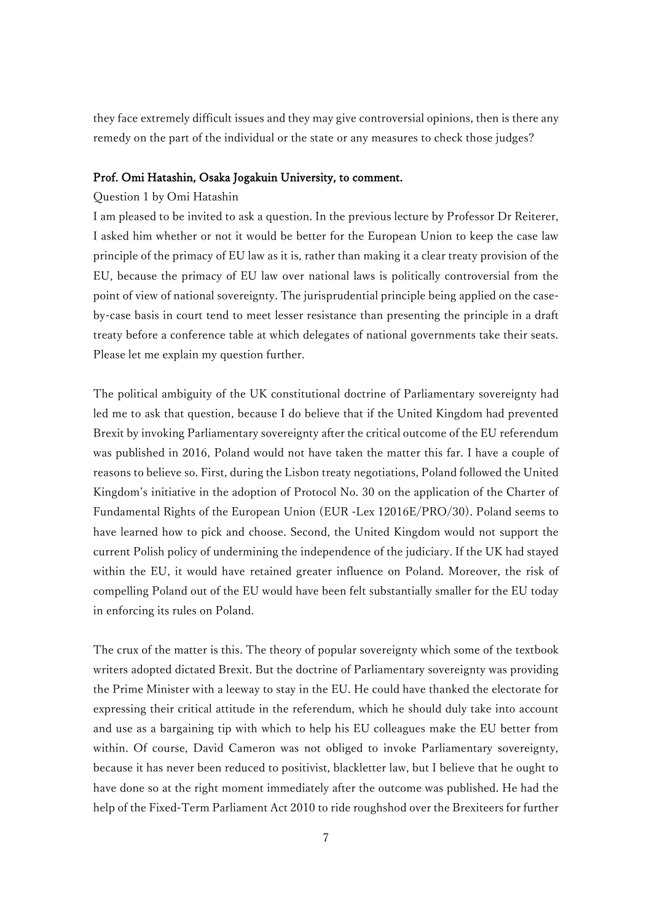they face extremely difficult issues and they may give controversial opinions, then is there any remedy on the part of the individual or the state or any measures to check those judges?

#### Prof. Omi Hatashin, Osaka Jogakuin University, to comment.

## Question 1 by Omi Hatashin

I am pleased to be invited to ask a question. In the previous lecture by Professor Dr Reiterer, I asked him whether or not it would be better for the European Union to keep the case law principle of the primacy of EU law as it is, rather than making it a clear treaty provision of the EU, because the primacy of EU law over national laws is politically controversial from the point of view of national sovereignty. The jurisprudential principle being applied on the caseby-case basis in court tend to meet lesser resistance than presenting the principle in a draft treaty before a conference table at which delegates of national governments take their seats. Please let me explain my question further.

The political ambiguity of the UK constitutional doctrine of Parliamentary sovereignty had led me to ask that question, because I do believe that if the United Kingdom had prevented Brexit by invoking Parliamentary sovereignty after the critical outcome of the EU referendum was published in 2016, Poland would not have taken the matter this far. I have a couple of reasons to believe so. First, during the Lisbon treaty negotiations, Poland followed the United Kingdom's initiative in the adoption of Protocol No. 30 on the application of the Charter of Fundamental Rights of the European Union (EUR -Lex 12016E/PRO/30). Poland seems to have learned how to pick and choose. Second, the United Kingdom would not support the current Polish policy of undermining the independence of the judiciary. If the UK had stayed within the EU, it would have retained greater influence on Poland. Moreover, the risk of compelling Poland out of the EU would have been felt substantially smaller for the EU today in enforcing its rules on Poland.

The crux of the matter is this. The theory of popular sovereignty which some of the textbook writers adopted dictated Brexit. But the doctrine of Parliamentary sovereignty was providing the Prime Minister with a leeway to stay in the EU. He could have thanked the electorate for expressing their critical attitude in the referendum, which he should duly take into account and use as a bargaining tip with which to help his EU colleagues make the EU better from within. Of course, David Cameron was not obliged to invoke Parliamentary sovereignty, because it has never been reduced to positivist, blackletter law, but I believe that he ought to have done so at the right moment immediately after the outcome was published. He had the help of the Fixed-Term Parliament Act 2010 to ride roughshod over the Brexiteers for further